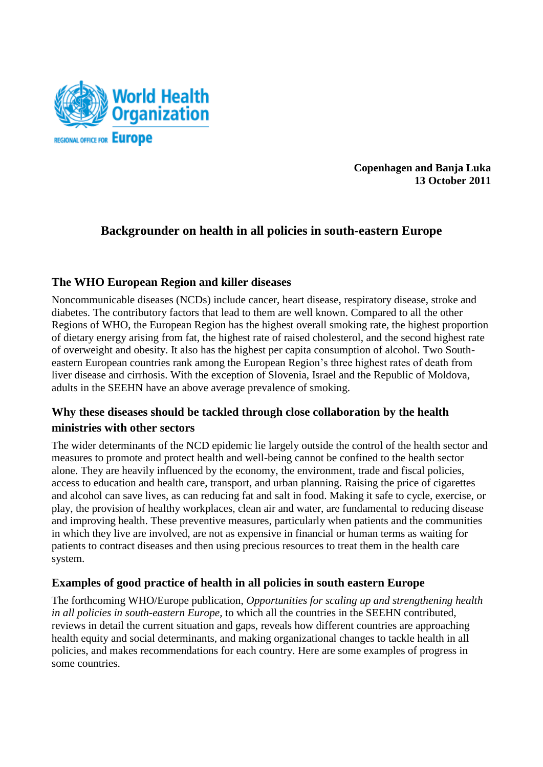

**Copenhagen and Banja Luka 13 October 2011**

# **Backgrounder on health in all policies in south-eastern Europe**

## **The WHO European Region and killer diseases**

Noncommunicable diseases (NCDs) include cancer, heart disease, respiratory disease, stroke and diabetes. The contributory factors that lead to them are well known. Compared to all the other Regions of WHO, the European Region has the highest overall smoking rate, the highest proportion of dietary energy arising from fat, the highest rate of raised cholesterol, and the second highest rate of overweight and obesity. It also has the highest per capita consumption of alcohol. Two Southeastern European countries rank among the European Region's three highest rates of death from liver disease and cirrhosis. With the exception of Slovenia, Israel and the Republic of Moldova, adults in the SEEHN have an above average prevalence of smoking.

# **Why these diseases should be tackled through close collaboration by the health ministries with other sectors**

The wider determinants of the NCD epidemic lie largely outside the control of the health sector and measures to promote and protect health and well-being cannot be confined to the health sector alone. They are heavily influenced by the economy, the environment, trade and fiscal policies, access to education and health care, transport, and urban planning. Raising the price of cigarettes and alcohol can save lives, as can reducing fat and salt in food. Making it safe to cycle, exercise, or play, the provision of healthy workplaces, clean air and water, are fundamental to reducing disease and improving health. These preventive measures, particularly when patients and the communities in which they live are involved, are not as expensive in financial or human terms as waiting for patients to contract diseases and then using precious resources to treat them in the health care system.

### **Examples of good practice of health in all policies in south eastern Europe**

The forthcoming WHO/Europe publication, *Opportunities for scaling up and strengthening health in all policies in south-eastern Europe,* to which all the countries in the SEEHN contributed, reviews in detail the current situation and gaps, reveals how different countries are approaching health equity and social determinants, and making organizational changes to tackle health in all policies, and makes recommendations for each country. Here are some examples of progress in some countries.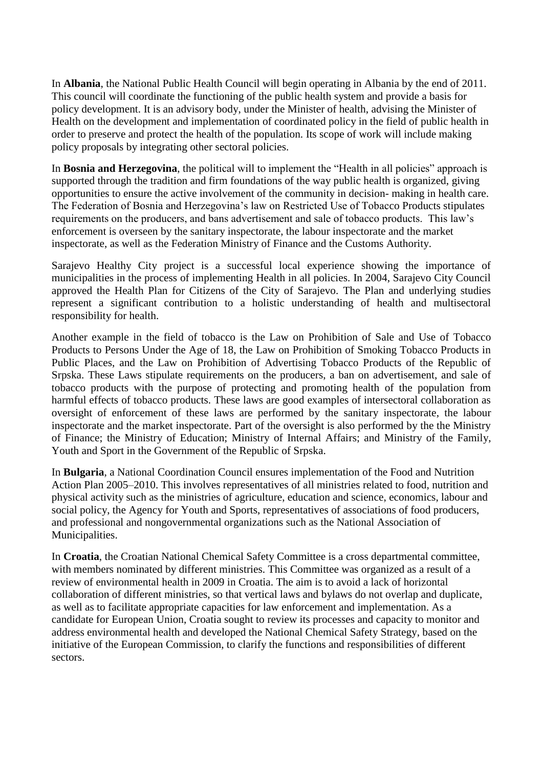In **Albania**, the National Public Health Council will begin operating in Albania by the end of 2011. This council will coordinate the functioning of the public health system and provide a basis for policy development. It is an advisory body, under the Minister of health, advising the Minister of Health on the development and implementation of coordinated policy in the field of public health in order to preserve and protect the health of the population. Its scope of work will include making policy proposals by integrating other sectoral policies.

In **Bosnia and Herzegovina**, the political will to implement the "Health in all policies" approach is supported through the tradition and firm foundations of the way public health is organized, giving opportunities to ensure the active involvement of the community in decision- making in health care. The Federation of Bosnia and Herzegovina's law on Restricted Use of Tobacco Products stipulates requirements on the producers, and bans advertisement and sale of tobacco products. This law's enforcement is overseen by the sanitary inspectorate, the labour inspectorate and the market inspectorate, as well as the Federation Ministry of Finance and the Customs Authority.

Sarajevo Healthy City project is a successful local experience showing the importance of municipalities in the process of implementing Health in all policies. In 2004, Sarajevo City Council approved the Health Plan for Citizens of the City of Sarajevo. The Plan and underlying studies represent a significant contribution to a holistic understanding of health and multisectoral responsibility for health.

Another example in the field of tobacco is the Law on Prohibition of Sale and Use of Tobacco Products to Persons Under the Age of 18, the Law on Prohibition of Smoking Tobacco Products in Public Places, and the Law on Prohibition of Advertising Tobacco Products of the Republic of Srpska. These Laws stipulate requirements on the producers, a ban on advertisement, and sale of tobacco products with the purpose of protecting and promoting health of the population from harmful effects of tobacco products. These laws are good examples of intersectoral collaboration as oversight of enforcement of these laws are performed by the sanitary inspectorate, the labour inspectorate and the market inspectorate. Part of the oversight is also performed by the the Ministry of Finance; the Ministry of Education; Ministry of Internal Affairs; and Ministry of the Family, Youth and Sport in the Government of the Republic of Srpska.

In **Bulgaria**, a National Coordination Council ensures implementation of the Food and Nutrition Action Plan 2005–2010. This involves representatives of all ministries related to food, nutrition and physical activity such as the ministries of agriculture, education and science, economics, labour and social policy, the Agency for Youth and Sports, representatives of associations of food producers, and professional and nongovernmental organizations such as the National Association of Municipalities.

In **Croatia**, the Croatian National Chemical Safety Committee is a cross departmental committee, with members nominated by different ministries. This Committee was organized as a result of a review of environmental health in 2009 in Croatia. The aim is to avoid a lack of horizontal collaboration of different ministries, so that vertical laws and bylaws do not overlap and duplicate, as well as to facilitate appropriate capacities for law enforcement and implementation. As a candidate for European Union, Croatia sought to review its processes and capacity to monitor and address environmental health and developed the National Chemical Safety Strategy, based on the initiative of the European Commission, to clarify the functions and responsibilities of different sectors.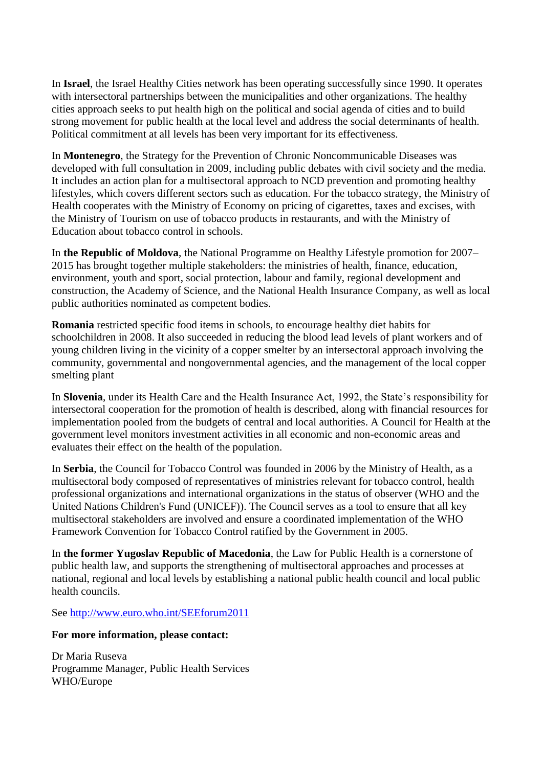In **Israel**, the Israel Healthy Cities network has been operating successfully since 1990. It operates with intersectoral partnerships between the municipalities and other organizations. The healthy cities approach seeks to put health high on the political and social agenda of cities and to build strong movement for public health at the local level and address the social determinants of health. Political commitment at all levels has been very important for its effectiveness.

In **Montenegro**, the Strategy for the Prevention of Chronic Noncommunicable Diseases was developed with full consultation in 2009, including public debates with civil society and the media. It includes an action plan for a multisectoral approach to NCD prevention and promoting healthy lifestyles, which covers different sectors such as education. For the tobacco strategy, the Ministry of Health cooperates with the Ministry of Economy on pricing of cigarettes, taxes and excises, with the Ministry of Tourism on use of tobacco products in restaurants, and with the Ministry of Education about tobacco control in schools.

In **the Republic of Moldova**, the National Programme on Healthy Lifestyle promotion for 2007– 2015 has brought together multiple stakeholders: the ministries of health, finance, education, environment, youth and sport, social protection, labour and family, regional development and construction, the Academy of Science, and the National Health Insurance Company, as well as local public authorities nominated as competent bodies.

**Romania** restricted specific food items in schools, to encourage healthy diet habits for schoolchildren in 2008. It also succeeded in reducing the blood lead levels of plant workers and of young children living in the vicinity of a copper smelter by an intersectoral approach involving the community, governmental and nongovernmental agencies, and the management of the local copper smelting plant

In **Slovenia**, under its Health Care and the Health Insurance Act, 1992, the State's responsibility for intersectoral cooperation for the promotion of health is described, along with financial resources for implementation pooled from the budgets of central and local authorities. A Council for Health at the government level monitors investment activities in all economic and non-economic areas and evaluates their effect on the health of the population.

In **Serbia**, the Council for Tobacco Control was founded in 2006 by the Ministry of Health, as a multisectoral body composed of representatives of ministries relevant for tobacco control, health professional organizations and international organizations in the status of observer (WHO and the United Nations Children's Fund (UNICEF)). The Council serves as a tool to ensure that all key multisectoral stakeholders are involved and ensure a coordinated implementation of the WHO Framework Convention for Tobacco Control ratified by the Government in 2005.

In **the former Yugoslav Republic of Macedonia**, the Law for Public Health is a cornerstone of public health law, and supports the strengthening of multisectoral approaches and processes at national, regional and local levels by establishing a national public health council and local public health councils.

See<http://www.euro.who.int/SEEforum2011>

#### **For more information, please contact:**

Dr Maria Ruseva Programme Manager, Public Health Services WHO/Europe